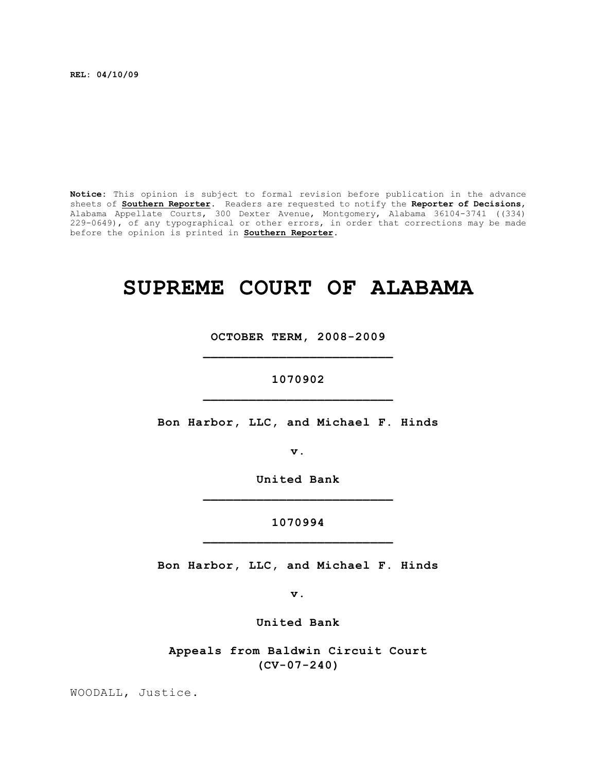**REL: 04/10/09**

**Notice:** This opinion is subject to formal revision before publication in the advance sheets of **Southern Reporter**. Readers are requested to notify the **Reporter of Decisions**, Alabama Appellate Courts, 300 Dexter Avenue, Montgomery, Alabama 36104-3741 ((334) 229-0649), of any typographical or other errors, in order that corrections may be made before the opinion is printed in **Southern Reporter**.

## **SUPREME COURT OF ALABAMA**

**OCTOBER TERM, 2008-2009 \_\_\_\_\_\_\_\_\_\_\_\_\_\_\_\_\_\_\_\_\_\_\_\_\_**

## **1070902 \_\_\_\_\_\_\_\_\_\_\_\_\_\_\_\_\_\_\_\_\_\_\_\_\_**

**Bon Harbor, LLC, and Michael F. Hinds**

**v.**

**United Bank \_\_\_\_\_\_\_\_\_\_\_\_\_\_\_\_\_\_\_\_\_\_\_\_\_**

**1070994 \_\_\_\_\_\_\_\_\_\_\_\_\_\_\_\_\_\_\_\_\_\_\_\_\_**

**Bon Harbor, LLC, and Michael F. Hinds**

**v.**

**United Bank**

**Appeals from Baldwin Circuit Court (CV-07-240)**

WOODALL, Justice.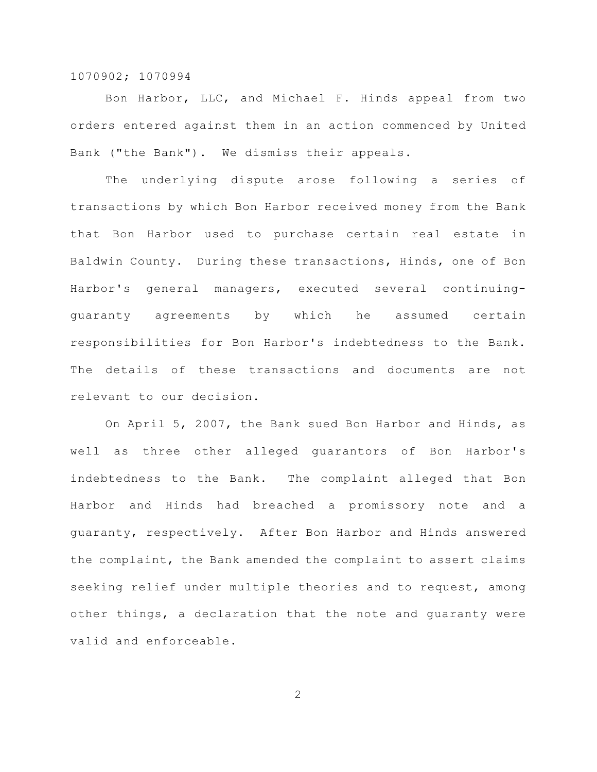Bon Harbor, LLC, and Michael F. Hinds appeal from two orders entered against them in an action commenced by United Bank ("the Bank"). We dismiss their appeals.

The underlying dispute arose following a series of transactions by which Bon Harbor received money from the Bank that Bon Harbor used to purchase certain real estate in Baldwin County. During these transactions, Hinds, one of Bon Harbor's general managers, executed several continuingguaranty agreements by which he assumed certain responsibilities for Bon Harbor's indebtedness to the Bank. The details of these transactions and documents are not relevant to our decision.

On April 5, 2007, the Bank sued Bon Harbor and Hinds, as well as three other alleged guarantors of Bon Harbor's indebtedness to the Bank. The complaint alleged that Bon Harbor and Hinds had breached a promissory note and a guaranty, respectively. After Bon Harbor and Hinds answered the complaint, the Bank amended the complaint to assert claims seeking relief under multiple theories and to request, among other things, a declaration that the note and guaranty were valid and enforceable.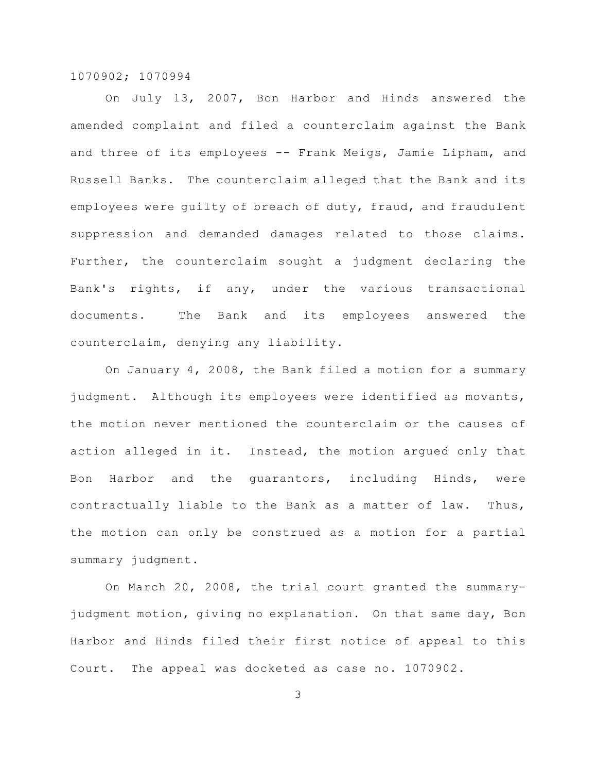On July 13, 2007, Bon Harbor and Hinds answered the amended complaint and filed a counterclaim against the Bank and three of its employees -- Frank Meigs, Jamie Lipham, and Russell Banks. The counterclaim alleged that the Bank and its employees were quilty of breach of duty, fraud, and fraudulent suppression and demanded damages related to those claims. Further, the counterclaim sought a judgment declaring the Bank's rights, if any, under the various transactional documents. The Bank and its employees answered the counterclaim, denying any liability.

On January 4, 2008, the Bank filed a motion for a summary judgment. Although its employees were identified as movants, the motion never mentioned the counterclaim or the causes of action alleged in it. Instead, the motion argued only that Bon Harbor and the guarantors, including Hinds, were contractually liable to the Bank as a matter of law. Thus, the motion can only be construed as a motion for a partial summary judgment.

On March 20, 2008, the trial court granted the summaryjudgment motion, giving no explanation. On that same day, Bon Harbor and Hinds filed their first notice of appeal to this Court. The appeal was docketed as case no. 1070902.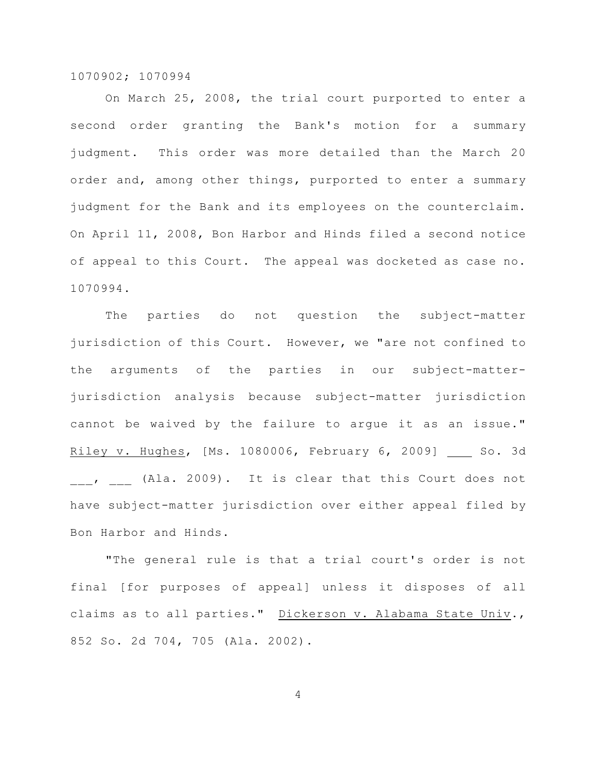On March 25, 2008, the trial court purported to enter a second order granting the Bank's motion for a summary judgment. This order was more detailed than the March 20 order and, among other things, purported to enter a summary judgment for the Bank and its employees on the counterclaim. On April 11, 2008, Bon Harbor and Hinds filed a second notice of appeal to this Court. The appeal was docketed as case no. 1070994.

The parties do not question the subject-matter jurisdiction of this Court. However, we "are not confined to the arguments of the parties in our subject-matterjurisdiction analysis because subject-matter jurisdiction cannot be waived by the failure to argue it as an issue." Riley v. Hughes, [Ms. 1080006, February 6, 2009] So. 3d \_\_\_, \_\_\_ (Ala. 2009). It is clear that this Court does not have subject-matter jurisdiction over either appeal filed by Bon Harbor and Hinds.

"The general rule is that a trial court's order is not final [for purposes of appeal] unless it disposes of all claims as to all parties." Dickerson v. Alabama State Univ., 852 So. 2d 704, 705 (Ala. 2002).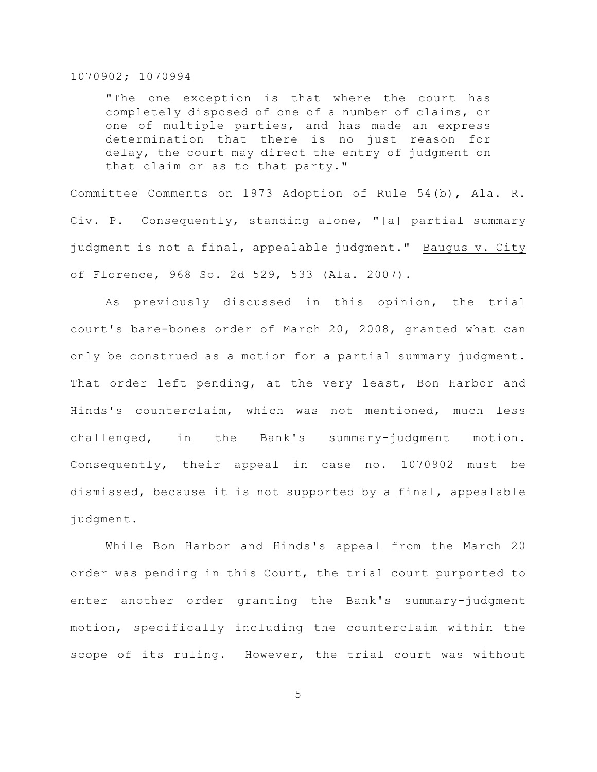"The one exception is that where the court has completely disposed of one of a number of claims, or one of multiple parties, and has made an express determination that there is no just reason for delay, the court may direct the entry of judgment on that claim or as to that party."

Committee Comments on 1973 Adoption of Rule 54(b), Ala. R. Civ. P. Consequently, standing alone, "[a] partial summary judgment is not a final, appealable judgment." Baugus v. City of Florence, 968 So. 2d 529, 533 (Ala. 2007).

As previously discussed in this opinion, the trial court's bare-bones order of March 20, 2008, granted what can only be construed as a motion for a partial summary judgment. That order left pending, at the very least, Bon Harbor and Hinds's counterclaim, which was not mentioned, much less challenged, in the Bank's summary-judgment motion. Consequently, their appeal in case no. 1070902 must be dismissed, because it is not supported by a final, appealable judgment.

While Bon Harbor and Hinds's appeal from the March 20 order was pending in this Court, the trial court purported to enter another order granting the Bank's summary-judgment motion, specifically including the counterclaim within the scope of its ruling. However, the trial court was without